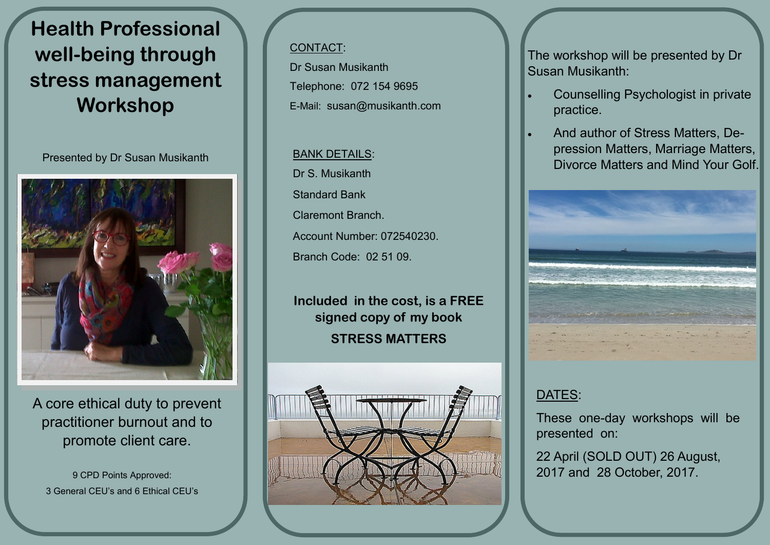# **Health Professional well-being through stress management Workshop**

Presented by Dr Susan Musikanth



A core ethical duty to prevent practitioner burnout and to promote client care.

9 CPD Points Approved: 3 General CEU's and 6 Ethical CEU's

#### CONTACT:

Dr Susan Musikanth Telephone: 072 154 9695 E-Mail: [susan@musikanth.com](mailto:susan@musikanth.com)

#### BANK DETAILS: Dr S. Musikanth

Standard Bank Claremont Branch. Account Number: 072540230. Branch Code: 02 51 09.

**Included in the cost, is a FREE signed copy of my book STRESS MATTERS**



The workshop will be presented by Dr Susan Musikanth:

- Counselling Psychologist in private practice.
- And author of Stress Matters, Depression Matters, Marriage Matters, Divorce Matters and Mind Your Golf.



## DATES:

These one-day workshops will be presented on:

22 April (SOLD OUT) 26 August, 2017 and 28 October, 2017.